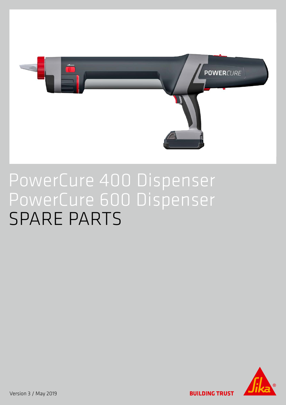

## PowerCure 400 Dispenser PowerCure 600 Dispenser SPARE PARTS



Version 3 / May 2019

UIRUSI **Andr**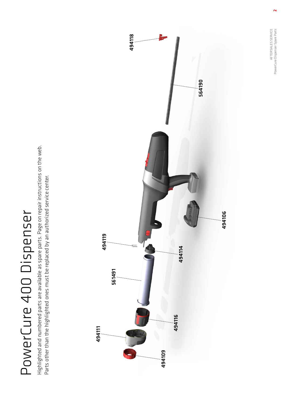# PowerCure 400 Dispenser PowerCure 400 Dispenser

Highlighted and numbered parts are available as spare parts. Page on repair instructions on the web. Highlighted and numbered parts are available as spare parts. Page on repair instructions on the web. Parts other than the highlighted ones must be replaced by an authorized service center. Parts other than the highlighted ones must be replaced by an authorized service center.



AFTERSALES SERVICE PowerCure Dispenser Spare Parts

AFTERSALES SERVICE<br>PowerCure Dispenser Spare Parts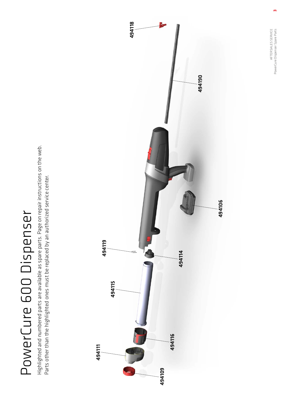# PowerCure 600 Dispenser PowerCure 600 Dispenser

Highlighted and numbered parts are available as spare parts. Page on repair instructions on the web. Highlighted and numbered parts are available as spare parts. Page on repair instructions on the web. Parts other than the highlighted ones must be replaced by an authorized service center. Parts other than the highlighted ones must be replaced by an authorized service center.



AFTERSALES SERVICE PowerCure Dispenser Spare Parts

AFTERSALES SERVICE<br>PowerCure Dispenser Spare Parts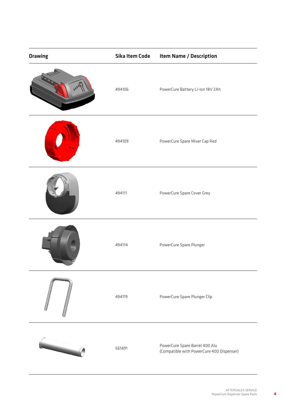| <b>Drawing</b> | Sika Item Code | <b>Item Name / Description</b>                                              |
|----------------|----------------|-----------------------------------------------------------------------------|
|                | 494106         | PowerCure Battery Li-Ion 18V 2Ah                                            |
|                | 494109         | PowerCure Spare Mixer Cap Red                                               |
|                | 494111         | PowerCure Spare Cover Grey                                                  |
|                | 494114         | PowerCure Spare Plunger                                                     |
|                | 494119         | PowerCure Spare Plunger Clip                                                |
|                | 561491         | PowerCure Spare Barrel 400 Alu<br>(Compatible with PowerCure 400 Dispenser) |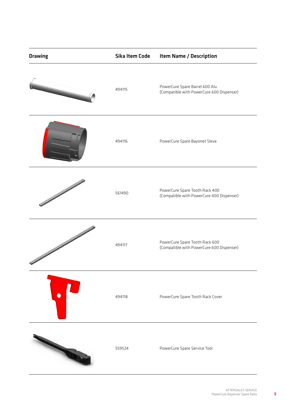| <b>Drawing</b>                       | <b>Sika Item Code</b> | <b>Item Name / Description</b>                                              |
|--------------------------------------|-----------------------|-----------------------------------------------------------------------------|
|                                      | 494115                | PowerCure Spare Barrel 600 Alu<br>(Compatible with PowerCure 600 Dispenser) |
|                                      | 494116                | PowerCure Spare Bayonet Sleve                                               |
|                                      | 561490                | PowerCure Spare Tooth Rack 400<br>(Compatible with PowerCure 400 Dispenser) |
| <b>September 2006 September 2006</b> | 494117                | PowerCure Spare Tooth Rack 600<br>(Compatible with PowerCure 600 Dispenser) |
|                                      | 494118                | PowerCure Spare Tooth Rack Cover                                            |
|                                      | 559524                | PowerCure Spare Service Tool                                                |